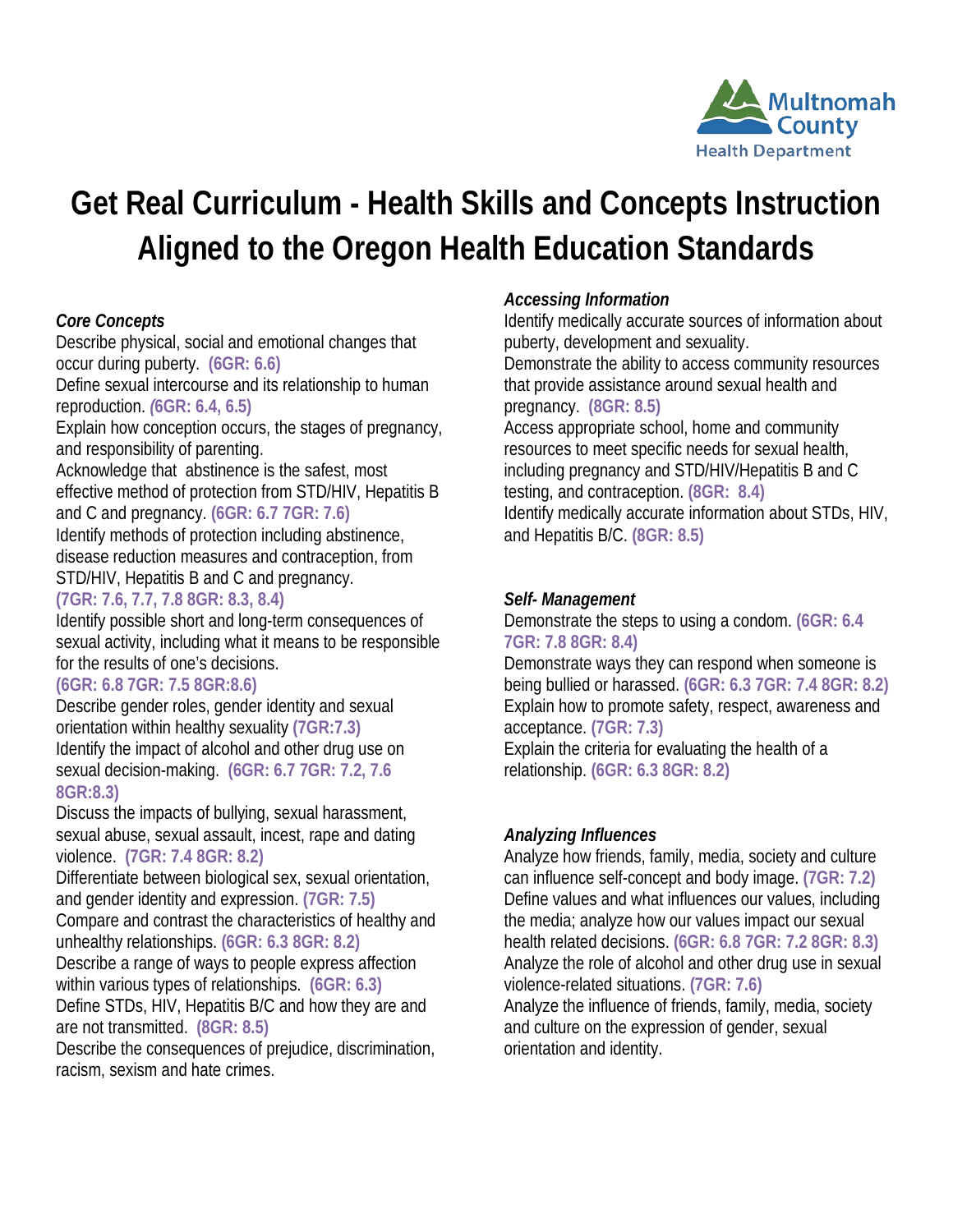

# **Get Real Curriculum - Health Skills and Concepts Instruction Aligned to the Oregon Health Education Standards**

## *Core Concepts*

Describe physical, social and emotional changes that occur during puberty. **(6GR: 6.6)**

Define sexual intercourse and its relationship to human reproduction. *(***6GR: 6.4, 6.5)**

Explain how conception occurs, the stages of pregnancy, and responsibility of parenting.

Acknowledge that abstinence is the safest, most effective method of protection from STD/HIV, Hepatitis B and C and pregnancy. **(6GR: 6.7 7GR: 7.6)**

Identify methods of protection including abstinence, disease reduction measures and contraception, from STD/HIV, Hepatitis B and C and pregnancy.

## **(7GR: 7.6, 7.7, 7.8 8GR: 8.3, 8.4)**

Identify possible short and long-term consequences of sexual activity, including what it means to be responsible for the results of one's decisions.

## **(6GR: 6.8 7GR: 7.5 8GR:8.6)**

Describe gender roles, gender identity and sexual orientation within healthy sexuality **(7GR:7.3)** Identify the impact of alcohol and other drug use on sexual decision-making. **(6GR: 6.7 7GR: 7.2, 7.6 8GR:8.3)**

Discuss the impacts of bullying, sexual harassment, sexual abuse, sexual assault, incest, rape and dating violence. **(7GR: 7.4 8GR: 8.2)**

Differentiate between biological sex, sexual orientation, and gender identity and expression. **(7GR: 7.5)**

Compare and contrast the characteristics of healthy and unhealthy relationships. **(6GR: 6.3 8GR: 8.2)**

Describe a range of ways to people express affection within various types of relationships. **(6GR: 6.3)**

Define STDs, HIV, Hepatitis B/C and how they are and are not transmitted. **(8GR: 8.5)**

Describe the consequences of prejudice, discrimination, racism, sexism and hate crimes.

# *Accessing Information*

Identify medically accurate sources of information about puberty, development and sexuality. Demonstrate the ability to access community resources

that provide assistance around sexual health and pregnancy. **(8GR: 8.5)**

Access appropriate school, home and community resources to meet specific needs for sexual health, including pregnancy and STD/HIV/Hepatitis B and C testing, and contraception. **(8GR: 8.4)** Identify medically accurate information about STDs, HIV, and Hepatitis B/C. **(8GR: 8.5)**

## *Self- Management*

Demonstrate the steps to using a condom. **(6GR: 6.4 7GR: 7.8 8GR: 8.4)**

Demonstrate ways they can respond when someone is being bullied or harassed. **(6GR: 6.3 7GR: 7.4 8GR: 8.2)** Explain how to promote safety, respect, awareness and acceptance. **(7GR: 7.3)**

Explain the criteria for evaluating the health of a relationship. **(6GR: 6.3 8GR: 8.2)**

# *Analyzing Influences*

Analyze how friends, family, media, society and culture can influence self-concept and body image. **(7GR: 7.2)** Define values and what influences our values, including the media; analyze how our values impact our sexual health related decisions. **(6GR: 6.8 7GR: 7.2 8GR: 8.3)** Analyze the role of alcohol and other drug use in sexual violence-related situations. **(7GR: 7.6)**

Analyze the influence of friends, family, media, society and culture on the expression of gender, sexual orientation and identity.